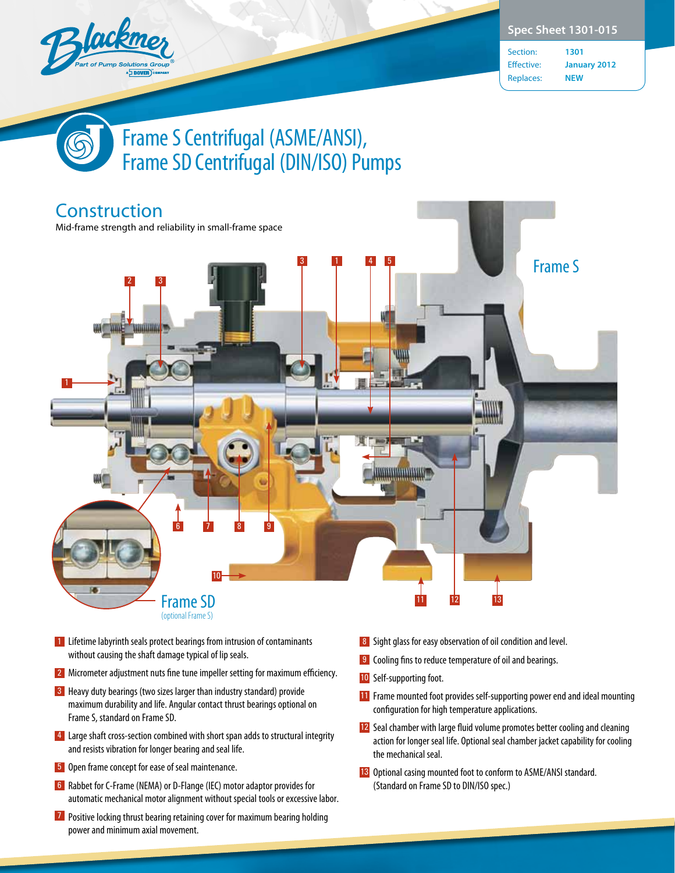

Section: **1301** Effective: **January 2012** Replaces: **NEW**

## Frame S Centrifugal (ASME/ANSI), Frame SD Centrifugal (DIN/ISO) Pumps



- 11 Lifetime labyrinth seals protect bearings from intrusion of contaminants without causing the shaft damage typical of lip seals.
- **2** Micrometer adjustment nuts fine tune impeller setting for maximum efficiency.
- **3** Heavy duty bearings (two sizes larger than industry standard) provide maximum durability and life. Angular contact thrust bearings optional on Frame S, standard on Frame SD.
- 4 Large shaft cross-section combined with short span adds to structural integrity and resists vibration for longer bearing and seal life.
- **5** Open frame concept for ease of seal maintenance.
- 6 Rabbet for C-Frame (NEMA) or D-Flange (IEC) motor adaptor provides for automatic mechanical motor alignment without special tools or excessive labor.
- **7** Positive locking thrust bearing retaining cover for maximum bearing holding power and minimum axial movement.
- 8 Sight glass for easy observation of oil condition and level.
- **9** Cooling fins to reduce temperature of oil and bearings.
- 10 Self-supporting foot.
- 11 Frame mounted foot provides self-supporting power end and ideal mounting configuration for high temperature applications.
- 12 Seal chamber with large fluid volume promotes better cooling and cleaning action for longer seal life. Optional seal chamber jacket capability for cooling the mechanical seal.
- 13 Optional casing mounted foot to conform to ASME/ANSI standard. (Standard on Frame SD to DIN/ISO spec.)